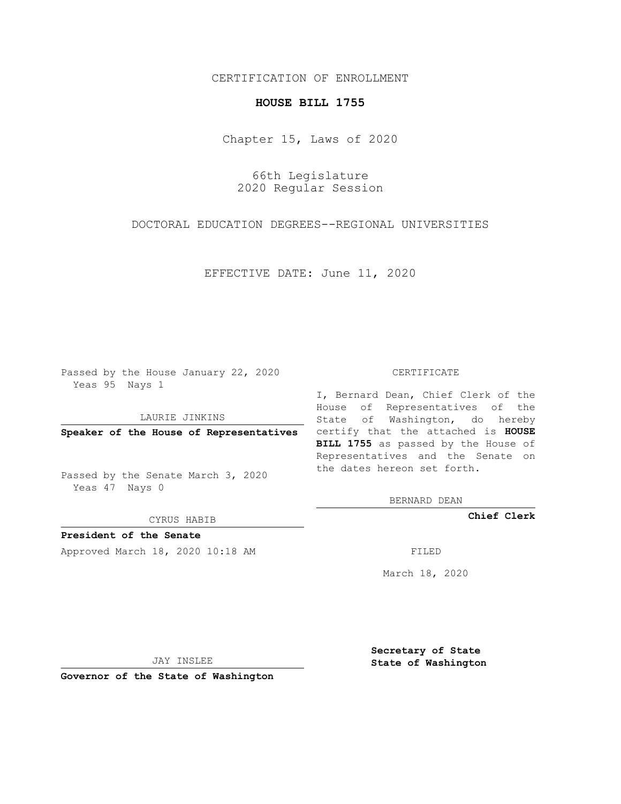# CERTIFICATION OF ENROLLMENT

## **HOUSE BILL 1755**

Chapter 15, Laws of 2020

66th Legislature 2020 Regular Session

DOCTORAL EDUCATION DEGREES--REGIONAL UNIVERSITIES

EFFECTIVE DATE: June 11, 2020

Passed by the House January 22, 2020 Yeas 95 Nays 1

LAURIE JINKINS

Passed by the Senate March 3, 2020 Yeas 47 Nays 0

CYRUS HABIB

**President of the Senate**

Approved March 18, 2020 10:18 AM FILED

#### CERTIFICATE

**Speaker of the House of Representatives** certify that the attached is **HOUSE** I, Bernard Dean, Chief Clerk of the House of Representatives of the State of Washington, do hereby **BILL 1755** as passed by the House of Representatives and the Senate on the dates hereon set forth.

BERNARD DEAN

**Chief Clerk**

March 18, 2020

JAY INSLEE

**Governor of the State of Washington**

**Secretary of State State of Washington**